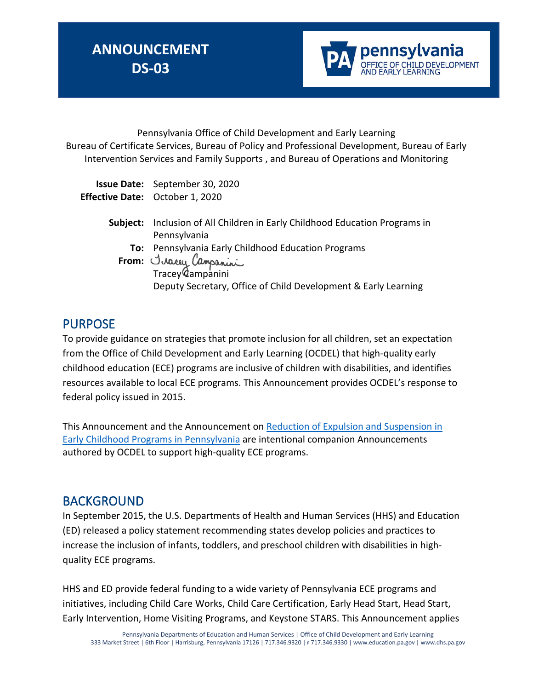

Pennsylvania Office of Child Development and Early Learning Bureau of Certificate Services, Bureau of Policy and Professional Development, Bureau of Early Intervention Services and Family Supports , and Bureau of Operations and Monitoring

| <b>Issue Date:</b> September 30, 2020  |
|----------------------------------------|
| <b>Effective Date:</b> October 1, 2020 |

| Subject: Inclusion of All Children in Early Childhood Education Programs in |
|-----------------------------------------------------------------------------|
| Pennsylvania                                                                |
| To: Pennsylvania Early Childhood Education Programs                         |
| From: <i>Juacey Campanini</i>                                               |
|                                                                             |
| Deputy Secretary, Office of Child Development & Early Learning              |
|                                                                             |

### PURPOSE

To provide guidance on strategies that promote inclusion for all children, set an expectation from the Office of Child Development and Early Learning (OCDEL) that high-quality early childhood education (ECE) programs are inclusive of children with disabilities, and identifies resources available to local ECE programs. This Announcement provides OCDEL's response to federal policy issued in 2015.

This Announcement and the Announcement on [Reduction of Expulsion and Suspension in](https://secureservercdn.net/198.71.233.197/69d.231.myftpupload.com/wp-content/uploads/2017/11/Announcement-Reduction-of-explusion-and-suspension-in-EC-programs-in-PA.pdf)  [Early Childhood Programs in Pennsylvania](https://secureservercdn.net/198.71.233.197/69d.231.myftpupload.com/wp-content/uploads/2017/11/Announcement-Reduction-of-explusion-and-suspension-in-EC-programs-in-PA.pdf) are intentional companion Announcements authored by OCDEL to support high-quality ECE programs.

### BACKGROUND

In September 2015, the U.S. Departments of Health and Human Services (HHS) and Education (ED) released a policy statement recommending states develop policies and practices to increase the inclusion of infants, toddlers, and preschool children with disabilities in highquality ECE programs.

HHS and ED provide federal funding to a wide variety of Pennsylvania ECE programs and initiatives, including Child Care Works, Child Care Certification, Early Head Start, Head Start, Early Intervention, Home Visiting Programs, and Keystone STARS. This Announcement applies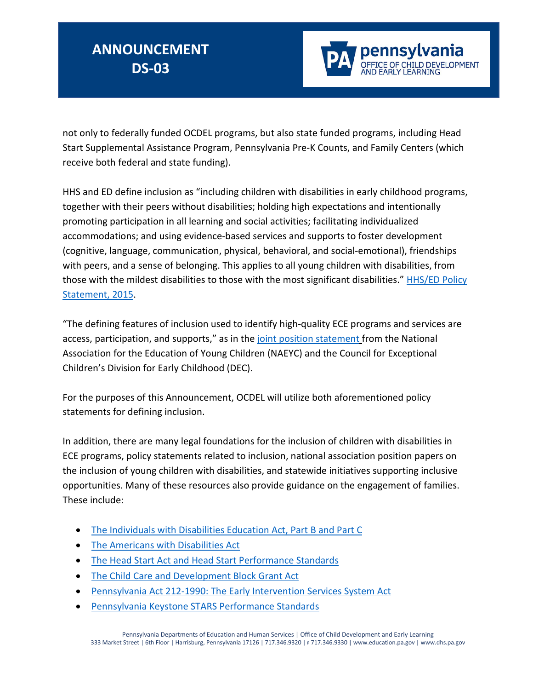

not only to federally funded OCDEL programs, but also state funded programs, including Head Start Supplemental Assistance Program, Pennsylvania Pre-K Counts, and Family Centers (which receive both federal and state funding).

HHS and ED define inclusion as "including children with disabilities in early childhood programs, together with their peers without disabilities; holding high expectations and intentionally promoting participation in all learning and social activities; facilitating individualized accommodations; and using evidence-based services and supports to foster development (cognitive, language, communication, physical, behavioral, and social-emotional), friendships with peers, and a sense of belonging. This applies to all young children with disabilities, from those with the mildest disabilities to those with the most significant disabilities." [HHS/ED Policy](https://www2.ed.gov/policy/speced/guid/earlylearning/joint-statement-full-text.pdf)  [Statement, 2015.](https://www2.ed.gov/policy/speced/guid/earlylearning/joint-statement-full-text.pdf)

"The defining features of inclusion used to identify high-quality ECE programs and services are access, participation, and supports," as in the [joint position statement](https://www.naeyc.org/sites/default/files/globally-shared/downloads/PDFs/resources/position-statements/DEC_NAEYC_EC_updatedKS.pdf) from the National Association for the Education of Young Children (NAEYC) and the Council for Exceptional Children's Division for Early Childhood (DEC).

For the purposes of this Announcement, OCDEL will utilize both aforementioned policy statements for defining inclusion.

In addition, there are many legal foundations for the inclusion of children with disabilities in ECE programs, policy statements related to inclusion, national association position papers on the inclusion of young children with disabilities, and statewide initiatives supporting inclusive opportunities. Many of these resources also provide guidance on the engagement of families. These include:

- [The Individuals with Disabilities Education Act, Part B and Part C](http://idea.ed.gov/)
- [The Americans with Disabilities Act](http://www.ada.gov/2010_regs.htm)
- The Head Start [Act and Head Start Performance Standards](http://eclkc.ohs.acf.hhs.gov/hslc/standards/law)
- [The Child Care and Development Block Grant Act](http://www.acf.hhs.gov/programs/occ/ccdf-reauthorization)
- [Pennsylvania Act 212-1990: The Early Intervention Services System Act](https://www.legis.state.pa.us/cfdocs/legis/li/uconsCheck.cfm?yr=1990&sessInd=0&act=212)
- [Pennsylvania Keystone STARS Performance Standards](https://www.pakeys.org/keystone-stars/)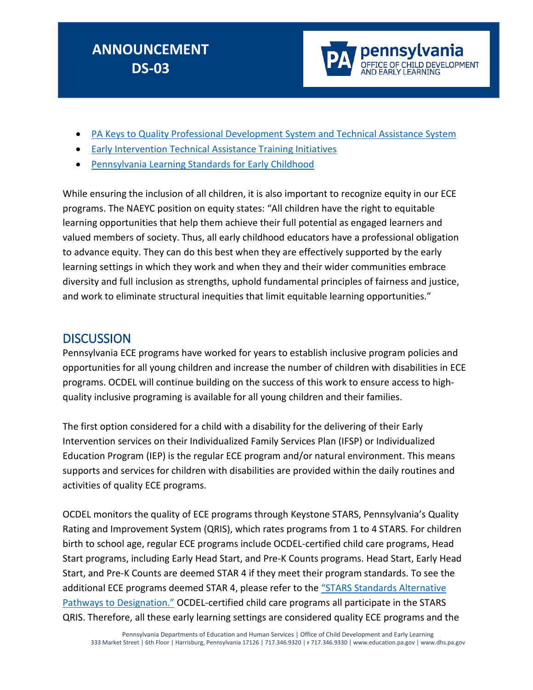

- [PA Keys to Quality Professional Development System and Technical Assistance System](https://www.pakeys.org/get-professional-development/)
- [Early Intervention Technical Assistance Training Initiatives](http://www.eita-pa.org/)
- [Pennsylvania Learning Standards for Early Childhood](https://www.pakeys.org/pa-early-learning-initiatives/early-learning-standards/)

While ensuring the inclusion of all children, it is also important to recognize equity in our ECE programs. The NAEYC position on equity states: "All children have the right to equitable learning opportunities that help them achieve their full potential as engaged learners and valued members of society. Thus, all early childhood educators have a professional obligation to advance equity. They can do this best when they are effectively supported by the early learning settings in which they work and when they and their wider communities embrace diversity and full inclusion as strengths, uphold fundamental principles of fairness and justice, and work to eliminate structural inequities that limit equitable learning opportunities."

#### **DISCUSSION**

Pennsylvania ECE programs have worked for years to establish inclusive program policies and opportunities for all young children and increase the number of children with disabilities in ECE programs. OCDEL will continue building on the success of this work to ensure access to highquality inclusive programing is available for all young children and their families.

The first option considered for a child with a disability for the delivering of their Early Intervention services on their Individualized Family Services Plan (IFSP) or Individualized Education Program (IEP) is the regular ECE program and/or natural environment. This means supports and services for children with disabilities are provided within the daily routines and activities of quality ECE programs.

OCDEL monitors the quality of ECE programs through Keystone STARS, Pennsylvania's Quality Rating and Improvement System (QRIS), which rates programs from 1 to 4 STARS. For children birth to school age, regular ECE programs include OCDEL-certified child care programs, Head Start programs, including Early Head Start, and Pre-K Counts programs. Head Start, Early Head Start, and Pre-K Counts are deemed STAR 4 if they meet their program standards. To see the additional ECE programs deemed STAR 4, please refer to the "STARS Standards Alternative [Pathways to Designation."](https://www.pakeys.org/keystone-stars/) OCDEL-certified child care programs all participate in the STARS QRIS. Therefore, all these early learning settings are considered quality ECE programs and the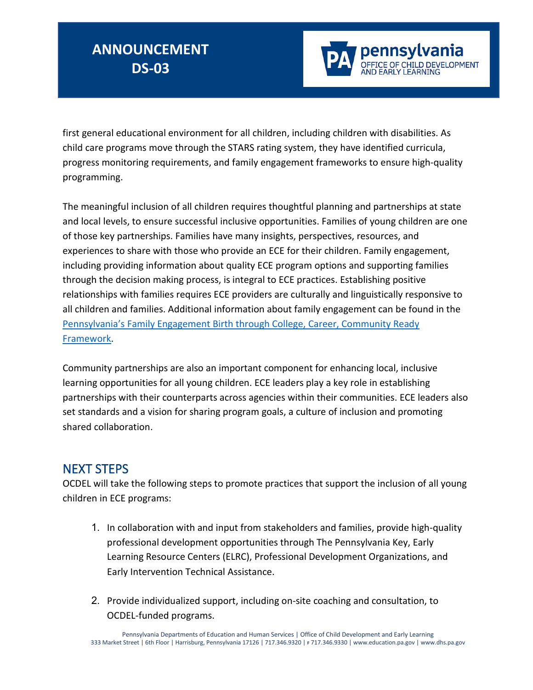

first general educational environment for all children, including children with disabilities. As child care programs move through the STARS rating system, they have identified curricula, progress monitoring requirements, and family engagement frameworks to ensure high-quality programming.

The meaningful inclusion of all children requires thoughtful planning and partnerships at state and local levels, to ensure successful inclusive opportunities. Families of young children are one of those key partnerships. Families have many insights, perspectives, resources, and experiences to share with those who provide an ECE for their children. Family engagement, including providing information about quality ECE program options and supporting families through the decision making process, is integral to ECE practices. Establishing positive relationships with families requires ECE providers are culturally and linguistically responsive to all children and families. Additional information about family engagement can be found in the [Pennsylvania's Family Engagement Birth through College, Career, Community Ready](https://www.education.pa.gov/Documents/Teachers-Administrators/Federal%20Programs/Title%20I/PA%20Family%20Engagement%20Framework.pdf)  [Framework.](https://www.education.pa.gov/Documents/Teachers-Administrators/Federal%20Programs/Title%20I/PA%20Family%20Engagement%20Framework.pdf)

Community partnerships are also an important component for enhancing local, inclusive learning opportunities for all young children. ECE leaders play a key role in establishing partnerships with their counterparts across agencies within their communities. ECE leaders also set standards and a vision for sharing program goals, a culture of inclusion and promoting shared collaboration.

### NEXT STEPS

OCDEL will take the following steps to promote practices that support the inclusion of all young children in ECE programs:

- 1. In collaboration with and input from stakeholders and families, provide high-quality professional development opportunities through The Pennsylvania Key, Early Learning Resource Centers (ELRC), Professional Development Organizations, and Early Intervention Technical Assistance.
- 2. Provide individualized support, including on-site coaching and consultation, to OCDEL-funded programs.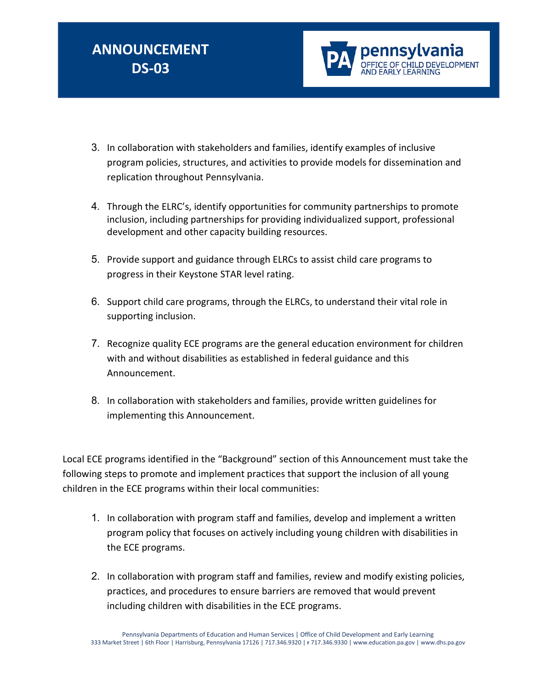

- 3. In collaboration with stakeholders and families, identify examples of inclusive program policies, structures, and activities to provide models for dissemination and replication throughout Pennsylvania.
- 4. Through the ELRC's, identify opportunities for community partnerships to promote inclusion, including partnerships for providing individualized support, professional development and other capacity building resources.
- 5. Provide support and guidance through ELRCs to assist child care programs to progress in their Keystone STAR level rating.
- 6. Support child care programs, through the ELRCs, to understand their vital role in supporting inclusion.
- 7. Recognize quality ECE programs are the general education environment for children with and without disabilities as established in federal guidance and this Announcement.
- 8. In collaboration with stakeholders and families, provide written guidelines for implementing this Announcement.

Local ECE programs identified in the "Background" section of this Announcement must take the following steps to promote and implement practices that support the inclusion of all young children in the ECE programs within their local communities:

- 1. In collaboration with program staff and families, develop and implement a written program policy that focuses on actively including young children with disabilities in the ECE programs.
- 2. In collaboration with program staff and families, review and modify existing policies, practices, and procedures to ensure barriers are removed that would prevent including children with disabilities in the ECE programs.